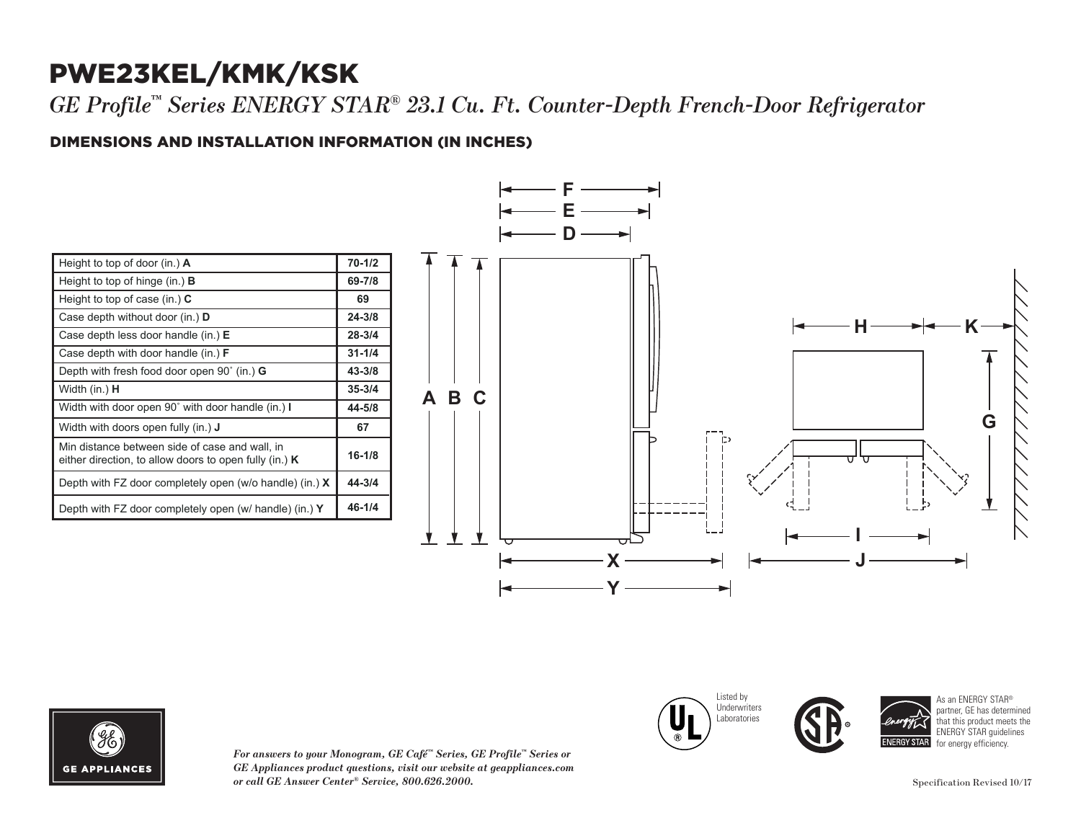## PWE23KEL/KMK/KSK

*GE Profile™ Series ENERGY STAR® 23.1 Cu. Ft. Counter-Depth French-Door Refrigerator*

### DIMENSIONS AND INSTALLATION INFORMATION (IN INCHES) **I**

| Height to top of door (in.) $\bf{A}$                                                                       | $70 - 1/2$ |
|------------------------------------------------------------------------------------------------------------|------------|
| Height to top of hinge (in.) $\bf{B}$                                                                      | 69-7/8     |
| Height to top of case (in.) $C$                                                                            | 69         |
| Case depth without door (in.) <b>D</b>                                                                     | $24 - 3/8$ |
| Case depth less door handle (in.) E                                                                        | $28 - 3/4$ |
| Case depth with door handle (in.) $F$                                                                      | $31 - 1/4$ |
| Depth with fresh food door open $90^{\circ}$ (in.) G                                                       | $43 - 3/8$ |
| Width (in.) <b>H</b>                                                                                       | $35 - 3/4$ |
| Width with door open 90° with door handle (in.) I                                                          | 44-5/8     |
| Width with doors open fully (in.) <b>J</b>                                                                 | 67         |
| Min distance between side of case and wall, in<br>either direction, to allow doors to open fully (in.) $K$ | $16 - 1/8$ |
| Depth with FZ door completely open (w/o handle) (in.) $X$                                                  | 44-3/4     |
| Depth with FZ door completely open (w/ handle) (in.) Y                                                     | $46 - 1/4$ |





*For answers to your Monogram, GE Café™ Series, GE Profile™ Series or*   $GE$  *Appliances product questions, visit our website at geappliances.com or call GE Answer Center® Service, 800.626.2000.* Specification Revised 10/17

Listed by Underwriters Laboratories Case depth without door (in.) **D** Case depth less door handle (in.) **E** Case depth with door handle (in.) **F** Depth with fresh food door open 90˚ (in.) **G**





As an ENERGY STAR® partner, GE has determined that this product meets the ENERGY STAR guidelines for energy efficiency.